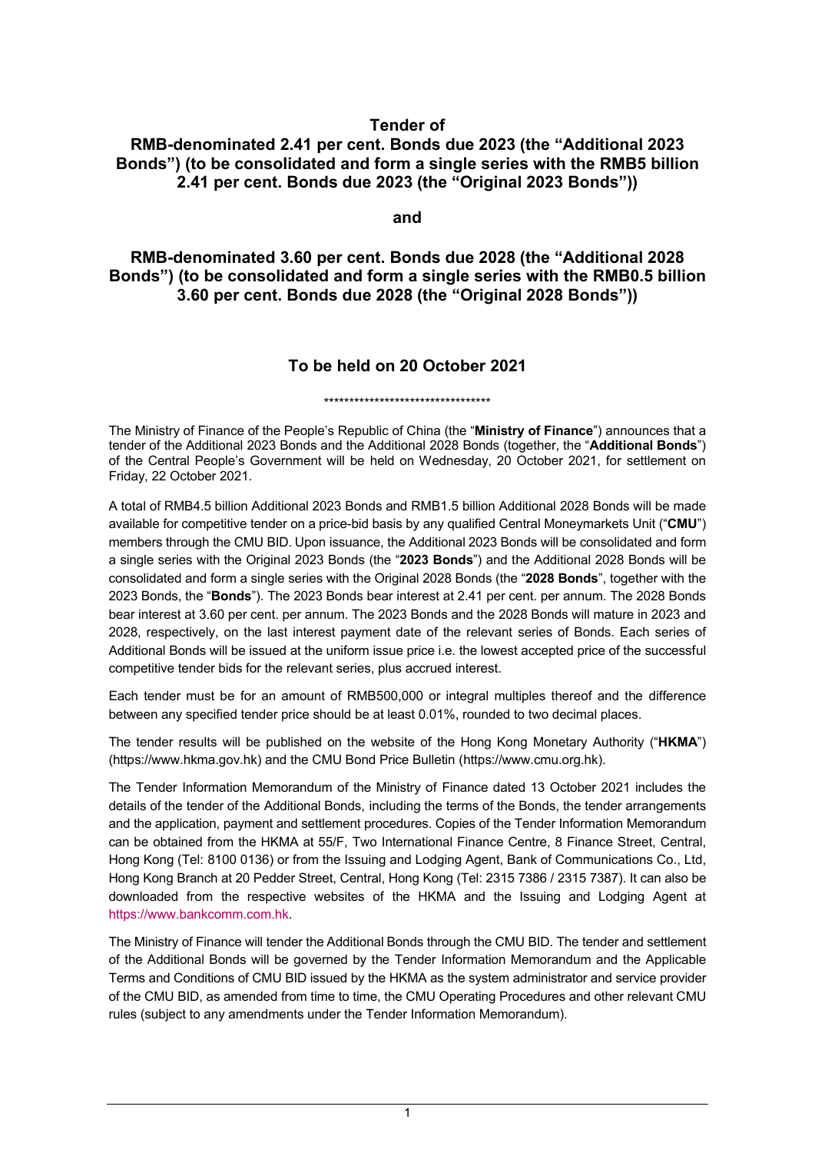## **Tender of**

## **RMB-denominated 2.41 per cent. Bonds due 2023 (the "Additional 2023 Bonds") (to be consolidated and form a single series with the RMB5 billion 2.41 per cent. Bonds due 2023 (the "Original 2023 Bonds"))**

**and**

**RMB-denominated 3.60 per cent. Bonds due 2028 (the "Additional 2028 Bonds") (to be consolidated and form a single series with the RMB0.5 billion 3.60 per cent. Bonds due 2028 (the "Original 2028 Bonds"))**

## **To be held on 20 October 2021**

\*\*\*\*\*\*\*\*\*\*\*\*\*\*\*\*\*\*\*\*\*\*\*\*\*\*\*\*\*\*\*\*\*

The Ministry of Finance of the People's Republic of China (the "**Ministry of Finance**") announces that a tender of the Additional 2023 Bonds and the Additional 2028 Bonds (together, the "**Additional Bonds**") of the Central People's Government will be held on Wednesday, 20 October 2021, for settlement on Friday, 22 October 2021.

A total of RMB4.5 billion Additional 2023 Bonds and RMB1.5 billion Additional 2028 Bonds will be made available for competitive tender on a price-bid basis by any qualified Central Moneymarkets Unit ("**CMU**") members through the CMU BID. Upon issuance, the Additional 2023 Bonds will be consolidated and form a single series with the Original 2023 Bonds (the "**2023 Bonds**") and the Additional 2028 Bonds will be consolidated and form a single series with the Original 2028 Bonds (the "**2028 Bonds**", together with the 2023 Bonds, the "**Bonds**"). The 2023 Bonds bear interest at 2.41 per cent. per annum. The 2028 Bonds bear interest at 3.60 per cent. per annum. The 2023 Bonds and the 2028 Bonds will mature in 2023 and 2028, respectively, on the last interest payment date of the relevant series of Bonds. Each series of Additional Bonds will be issued at the uniform issue price i.e. the lowest accepted price of the successful competitive tender bids for the relevant series, plus accrued interest.

Each tender must be for an amount of RMB500,000 or integral multiples thereof and the difference between any specified tender price should be at least 0.01%, rounded to two decimal places.

The tender results will be published on the website of the Hong Kong Monetary Authority ("**HKMA**") [\(https://www.hkma.gov.hk\)](http://www.hkma.gov.hk/) and the CMU Bond Price Bulletin [\(https://www.cmu.org.hk\)](http://www.cmu.org.hk/).

The Tender Information Memorandum of the Ministry of Finance dated 13 October 2021 includes the details of the tender of the Additional Bonds, including the terms of the Bonds, the tender arrangements and the application, payment and settlement procedures. Copies of the Tender Information Memorandum can be obtained from the HKMA at 55/F, Two International Finance Centre, 8 Finance Street, Central, Hong Kong (Tel: 8100 0136) or from the Issuing and Lodging Agent, Bank of Communications Co., Ltd, Hong Kong Branch at 20 Pedder Street, Central, Hong Kong (Tel: 2315 7386 / 2315 7387). It can also be downloaded from the respective websites of the HKMA and the Issuing and Lodging Agent at [https://www.bankcomm.com.hk.](https://www.bankcomm.com.hk/)

The Ministry of Finance will tender the Additional Bonds through the CMU BID. The tender and settlement of the Additional Bonds will be governed by the Tender Information Memorandum and the Applicable Terms and Conditions of CMU BID issued by the HKMA as the system administrator and service provider of the CMU BID, as amended from time to time, the CMU Operating Procedures and other relevant CMU rules (subject to any amendments under the Tender Information Memorandum).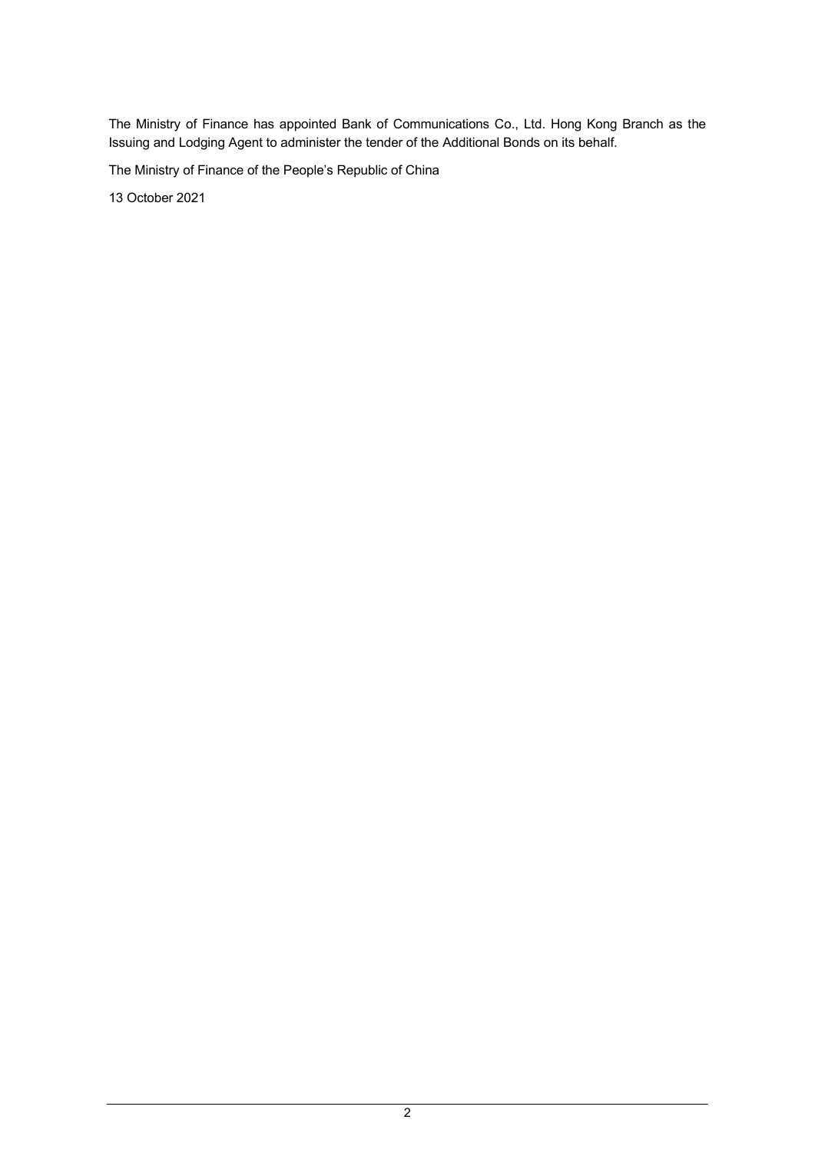The Ministry of Finance has appointed Bank of Communications Co., Ltd. Hong Kong Branch as the Issuing and Lodging Agent to administer the tender of the Additional Bonds on its behalf.

The Ministry of Finance of the People's Republic of China

13 October 2021